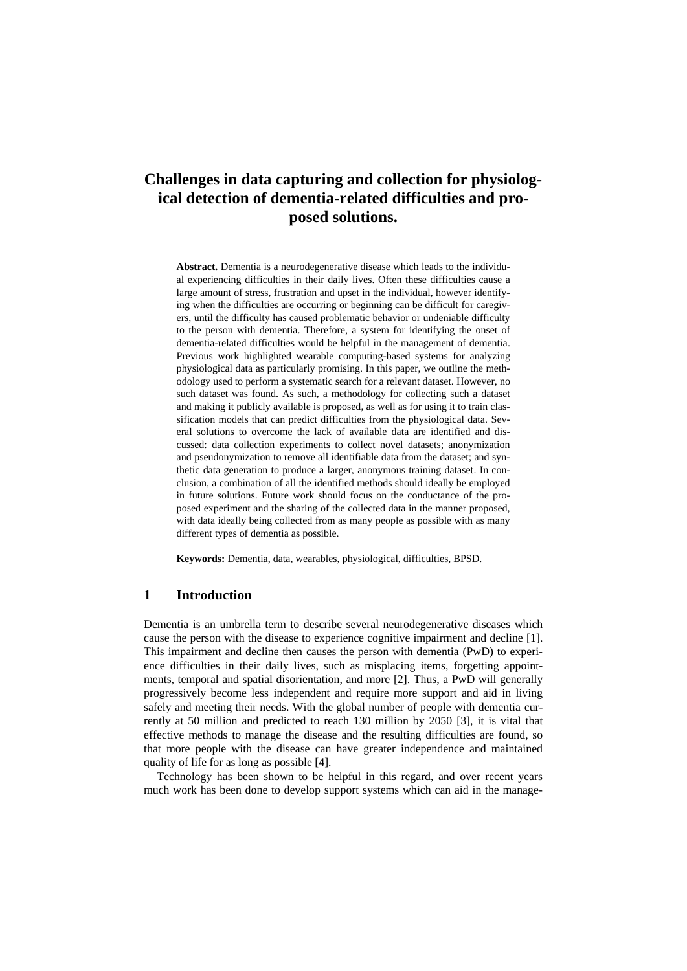# **Challenges in data capturing and collection for physiological detection of dementia-related difficulties and proposed solutions.**

**Abstract.** Dementia is a neurodegenerative disease which leads to the individual experiencing difficulties in their daily lives. Often these difficulties cause a large amount of stress, frustration and upset in the individual, however identifying when the difficulties are occurring or beginning can be difficult for caregivers, until the difficulty has caused problematic behavior or undeniable difficulty to the person with dementia. Therefore, a system for identifying the onset of dementia-related difficulties would be helpful in the management of dementia. Previous work highlighted wearable computing-based systems for analyzing physiological data as particularly promising. In this paper, we outline the methodology used to perform a systematic search for a relevant dataset. However, no such dataset was found. As such, a methodology for collecting such a dataset and making it publicly available is proposed, as well as for using it to train classification models that can predict difficulties from the physiological data. Several solutions to overcome the lack of available data are identified and discussed: data collection experiments to collect novel datasets; anonymization and pseudonymization to remove all identifiable data from the dataset; and synthetic data generation to produce a larger, anonymous training dataset. In conclusion, a combination of all the identified methods should ideally be employed in future solutions. Future work should focus on the conductance of the proposed experiment and the sharing of the collected data in the manner proposed, with data ideally being collected from as many people as possible with as many different types of dementia as possible.

**Keywords:** Dementia, data, wearables, physiological, difficulties, BPSD.

### **1 Introduction**

Dementia is an umbrella term to describe several neurodegenerative diseases which cause the person with the disease to experience cognitive impairment and decline [1]. This impairment and decline then causes the person with dementia (PwD) to experience difficulties in their daily lives, such as misplacing items, forgetting appointments, temporal and spatial disorientation, and more [2]. Thus, a PwD will generally progressively become less independent and require more support and aid in living safely and meeting their needs. With the global number of people with dementia currently at 50 million and predicted to reach 130 million by 2050 [3], it is vital that effective methods to manage the disease and the resulting difficulties are found, so that more people with the disease can have greater independence and maintained quality of life for as long as possible [4].

Technology has been shown to be helpful in this regard, and over recent years much work has been done to develop support systems which can aid in the manage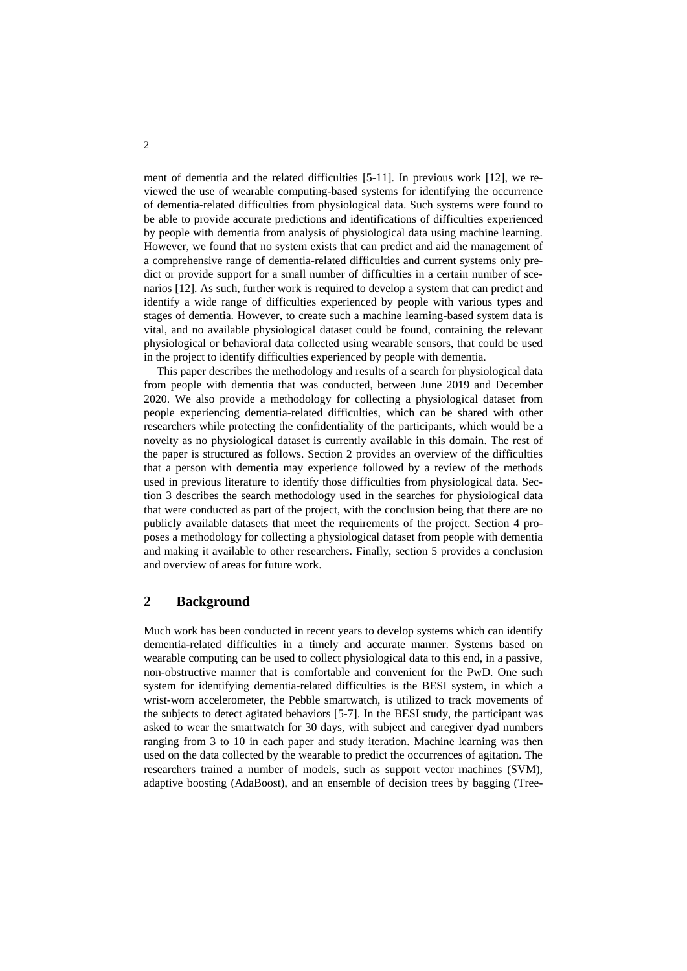ment of dementia and the related difficulties [5-11]. In previous work [12], we reviewed the use of wearable computing-based systems for identifying the occurrence of dementia-related difficulties from physiological data. Such systems were found to be able to provide accurate predictions and identifications of difficulties experienced by people with dementia from analysis of physiological data using machine learning. However, we found that no system exists that can predict and aid the management of a comprehensive range of dementia-related difficulties and current systems only predict or provide support for a small number of difficulties in a certain number of scenarios [12]. As such, further work is required to develop a system that can predict and identify a wide range of difficulties experienced by people with various types and stages of dementia. However, to create such a machine learning-based system data is vital, and no available physiological dataset could be found, containing the relevant physiological or behavioral data collected using wearable sensors, that could be used in the project to identify difficulties experienced by people with dementia.

This paper describes the methodology and results of a search for physiological data from people with dementia that was conducted, between June 2019 and December 2020. We also provide a methodology for collecting a physiological dataset from people experiencing dementia-related difficulties, which can be shared with other researchers while protecting the confidentiality of the participants, which would be a novelty as no physiological dataset is currently available in this domain. The rest of the paper is structured as follows. Section 2 provides an overview of the difficulties that a person with dementia may experience followed by a review of the methods used in previous literature to identify those difficulties from physiological data. Section 3 describes the search methodology used in the searches for physiological data that were conducted as part of the project, with the conclusion being that there are no publicly available datasets that meet the requirements of the project. Section 4 proposes a methodology for collecting a physiological dataset from people with dementia and making it available to other researchers. Finally, section 5 provides a conclusion and overview of areas for future work.

# **2 Background**

Much work has been conducted in recent years to develop systems which can identify dementia-related difficulties in a timely and accurate manner. Systems based on wearable computing can be used to collect physiological data to this end, in a passive, non-obstructive manner that is comfortable and convenient for the PwD. One such system for identifying dementia-related difficulties is the BESI system, in which a wrist-worn accelerometer, the Pebble smartwatch, is utilized to track movements of the subjects to detect agitated behaviors [5-7]. In the BESI study, the participant was asked to wear the smartwatch for 30 days, with subject and caregiver dyad numbers ranging from 3 to 10 in each paper and study iteration. Machine learning was then used on the data collected by the wearable to predict the occurrences of agitation. The researchers trained a number of models, such as support vector machines (SVM), adaptive boosting (AdaBoost), and an ensemble of decision trees by bagging (Tree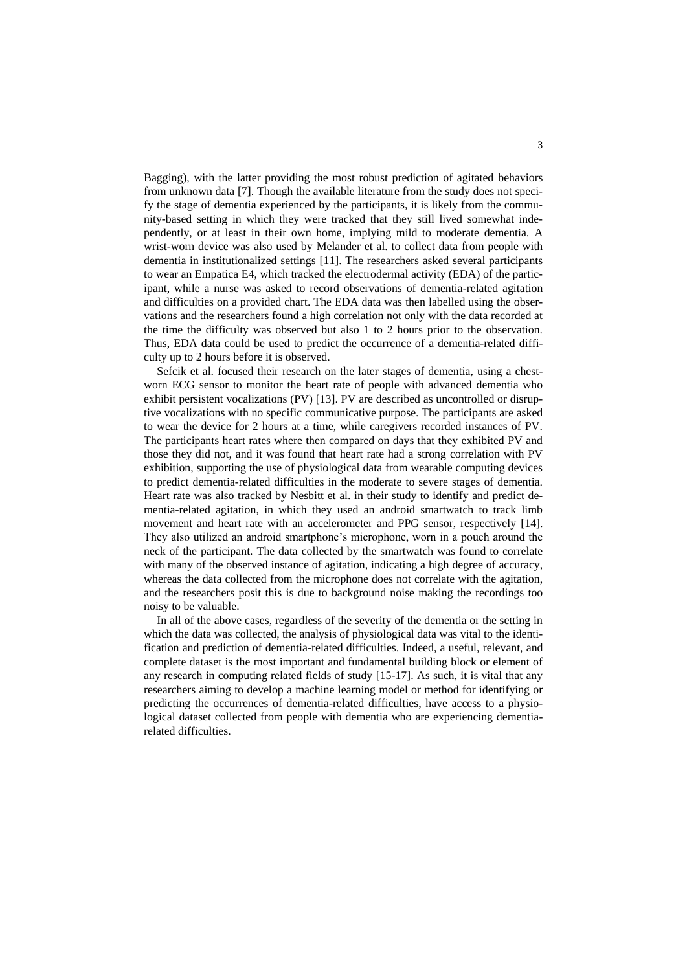Bagging), with the latter providing the most robust prediction of agitated behaviors from unknown data [7]. Though the available literature from the study does not specify the stage of dementia experienced by the participants, it is likely from the community-based setting in which they were tracked that they still lived somewhat independently, or at least in their own home, implying mild to moderate dementia. A wrist-worn device was also used by Melander et al. to collect data from people with dementia in institutionalized settings [11]. The researchers asked several participants to wear an Empatica E4, which tracked the electrodermal activity (EDA) of the participant, while a nurse was asked to record observations of dementia-related agitation and difficulties on a provided chart. The EDA data was then labelled using the observations and the researchers found a high correlation not only with the data recorded at the time the difficulty was observed but also 1 to 2 hours prior to the observation. Thus, EDA data could be used to predict the occurrence of a dementia-related difficulty up to 2 hours before it is observed.

Sefcik et al. focused their research on the later stages of dementia, using a chestworn ECG sensor to monitor the heart rate of people with advanced dementia who exhibit persistent vocalizations (PV) [13]. PV are described as uncontrolled or disruptive vocalizations with no specific communicative purpose. The participants are asked to wear the device for 2 hours at a time, while caregivers recorded instances of PV. The participants heart rates where then compared on days that they exhibited PV and those they did not, and it was found that heart rate had a strong correlation with PV exhibition, supporting the use of physiological data from wearable computing devices to predict dementia-related difficulties in the moderate to severe stages of dementia. Heart rate was also tracked by Nesbitt et al. in their study to identify and predict dementia-related agitation, in which they used an android smartwatch to track limb movement and heart rate with an accelerometer and PPG sensor, respectively [14]. They also utilized an android smartphone's microphone, worn in a pouch around the neck of the participant. The data collected by the smartwatch was found to correlate with many of the observed instance of agitation, indicating a high degree of accuracy, whereas the data collected from the microphone does not correlate with the agitation, and the researchers posit this is due to background noise making the recordings too noisy to be valuable.

In all of the above cases, regardless of the severity of the dementia or the setting in which the data was collected, the analysis of physiological data was vital to the identification and prediction of dementia-related difficulties. Indeed, a useful, relevant, and complete dataset is the most important and fundamental building block or element of any research in computing related fields of study [15-17]. As such, it is vital that any researchers aiming to develop a machine learning model or method for identifying or predicting the occurrences of dementia-related difficulties, have access to a physiological dataset collected from people with dementia who are experiencing dementiarelated difficulties.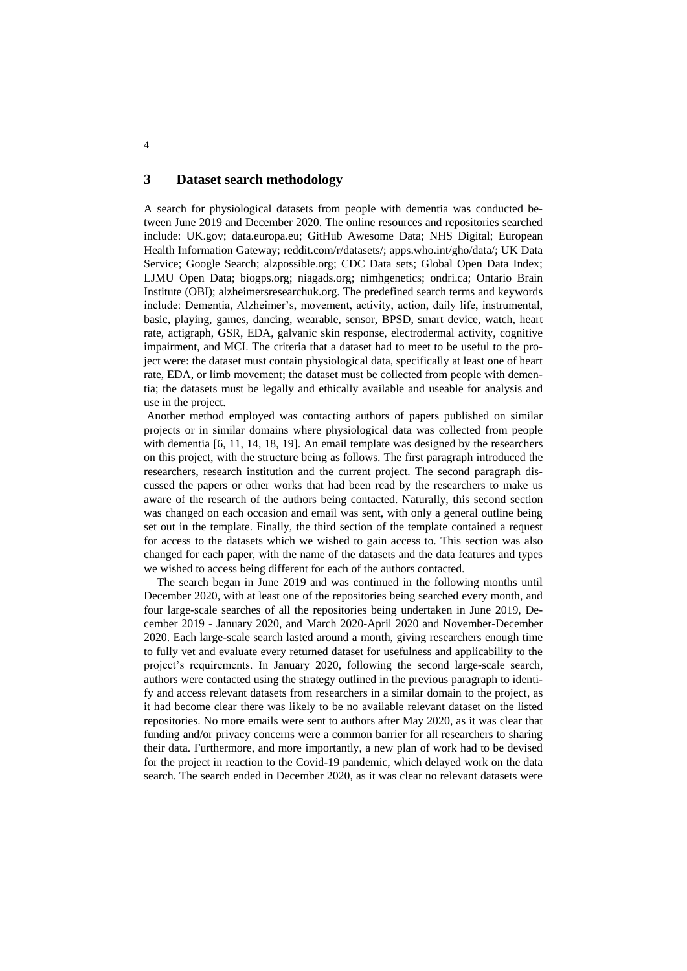### **3 Dataset search methodology**

A search for physiological datasets from people with dementia was conducted between June 2019 and December 2020. The online resources and repositories searched include: UK.gov; data.europa.eu; GitHub Awesome Data; NHS Digital; European Health Information Gateway; reddit.com/r/datasets/; apps.who.int/gho/data/; UK Data Service; Google Search; alzpossible.org; CDC Data sets; Global Open Data Index; LJMU Open Data; biogps.org; niagads.org; nimhgenetics; ondri.ca; Ontario Brain Institute (OBI); alzheimersresearchuk.org. The predefined search terms and keywords include: Dementia, Alzheimer's, movement, activity, action, daily life, instrumental, basic, playing, games, dancing, wearable, sensor, BPSD, smart device, watch, heart rate, actigraph, GSR, EDA, galvanic skin response, electrodermal activity, cognitive impairment, and MCI. The criteria that a dataset had to meet to be useful to the project were: the dataset must contain physiological data, specifically at least one of heart rate, EDA, or limb movement; the dataset must be collected from people with dementia; the datasets must be legally and ethically available and useable for analysis and use in the project.

Another method employed was contacting authors of papers published on similar projects or in similar domains where physiological data was collected from people with dementia [6, 11, 14, 18, 19]. An email template was designed by the researchers on this project, with the structure being as follows. The first paragraph introduced the researchers, research institution and the current project. The second paragraph discussed the papers or other works that had been read by the researchers to make us aware of the research of the authors being contacted. Naturally, this second section was changed on each occasion and email was sent, with only a general outline being set out in the template. Finally, the third section of the template contained a request for access to the datasets which we wished to gain access to. This section was also changed for each paper, with the name of the datasets and the data features and types we wished to access being different for each of the authors contacted.

The search began in June 2019 and was continued in the following months until December 2020, with at least one of the repositories being searched every month, and four large-scale searches of all the repositories being undertaken in June 2019, December 2019 - January 2020, and March 2020-April 2020 and November-December 2020. Each large-scale search lasted around a month, giving researchers enough time to fully vet and evaluate every returned dataset for usefulness and applicability to the project's requirements. In January 2020, following the second large-scale search, authors were contacted using the strategy outlined in the previous paragraph to identify and access relevant datasets from researchers in a similar domain to the project, as it had become clear there was likely to be no available relevant dataset on the listed repositories. No more emails were sent to authors after May 2020, as it was clear that funding and/or privacy concerns were a common barrier for all researchers to sharing their data. Furthermore, and more importantly, a new plan of work had to be devised for the project in reaction to the Covid-19 pandemic, which delayed work on the data search. The search ended in December 2020, as it was clear no relevant datasets were

4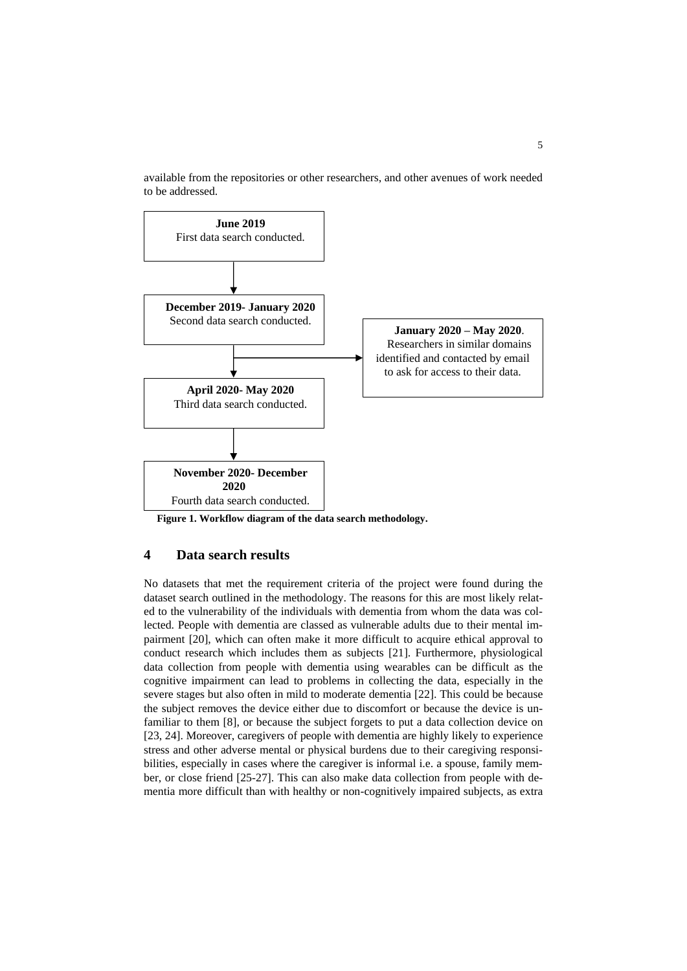available from the repositories or other researchers, and other avenues of work needed to be addressed.



**Figure 1. Workflow diagram of the data search methodology.**

### **4 Data search results**

No datasets that met the requirement criteria of the project were found during the dataset search outlined in the methodology. The reasons for this are most likely related to the vulnerability of the individuals with dementia from whom the data was collected. People with dementia are classed as vulnerable adults due to their mental impairment [20], which can often make it more difficult to acquire ethical approval to conduct research which includes them as subjects [21]. Furthermore, physiological data collection from people with dementia using wearables can be difficult as the cognitive impairment can lead to problems in collecting the data, especially in the severe stages but also often in mild to moderate dementia [22]. This could be because the subject removes the device either due to discomfort or because the device is unfamiliar to them [8], or because the subject forgets to put a data collection device on [23, 24]. Moreover, caregivers of people with dementia are highly likely to experience stress and other adverse mental or physical burdens due to their caregiving responsibilities, especially in cases where the caregiver is informal i.e. a spouse, family member, or close friend [25-27]. This can also make data collection from people with dementia more difficult than with healthy or non-cognitively impaired subjects, as extra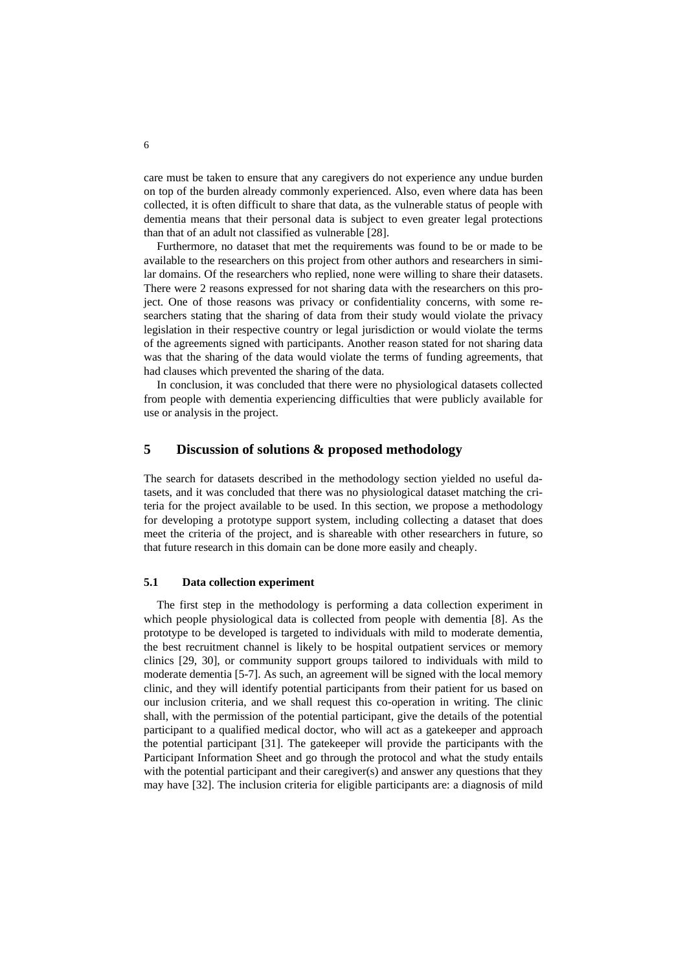care must be taken to ensure that any caregivers do not experience any undue burden on top of the burden already commonly experienced. Also, even where data has been collected, it is often difficult to share that data, as the vulnerable status of people with dementia means that their personal data is subject to even greater legal protections than that of an adult not classified as vulnerable [28].

Furthermore, no dataset that met the requirements was found to be or made to be available to the researchers on this project from other authors and researchers in similar domains. Of the researchers who replied, none were willing to share their datasets. There were 2 reasons expressed for not sharing data with the researchers on this project. One of those reasons was privacy or confidentiality concerns, with some researchers stating that the sharing of data from their study would violate the privacy legislation in their respective country or legal jurisdiction or would violate the terms of the agreements signed with participants. Another reason stated for not sharing data was that the sharing of the data would violate the terms of funding agreements, that had clauses which prevented the sharing of the data.

In conclusion, it was concluded that there were no physiological datasets collected from people with dementia experiencing difficulties that were publicly available for use or analysis in the project.

# **5 Discussion of solutions & proposed methodology**

The search for datasets described in the methodology section yielded no useful datasets, and it was concluded that there was no physiological dataset matching the criteria for the project available to be used. In this section, we propose a methodology for developing a prototype support system, including collecting a dataset that does meet the criteria of the project, and is shareable with other researchers in future, so that future research in this domain can be done more easily and cheaply.

#### **5.1 Data collection experiment**

The first step in the methodology is performing a data collection experiment in which people physiological data is collected from people with dementia [8]. As the prototype to be developed is targeted to individuals with mild to moderate dementia, the best recruitment channel is likely to be hospital outpatient services or memory clinics [29, 30], or community support groups tailored to individuals with mild to moderate dementia [5-7]. As such, an agreement will be signed with the local memory clinic, and they will identify potential participants from their patient for us based on our inclusion criteria, and we shall request this co-operation in writing. The clinic shall, with the permission of the potential participant, give the details of the potential participant to a qualified medical doctor, who will act as a gatekeeper and approach the potential participant [31]. The gatekeeper will provide the participants with the Participant Information Sheet and go through the protocol and what the study entails with the potential participant and their caregiver(s) and answer any questions that they may have [32]. The inclusion criteria for eligible participants are: a diagnosis of mild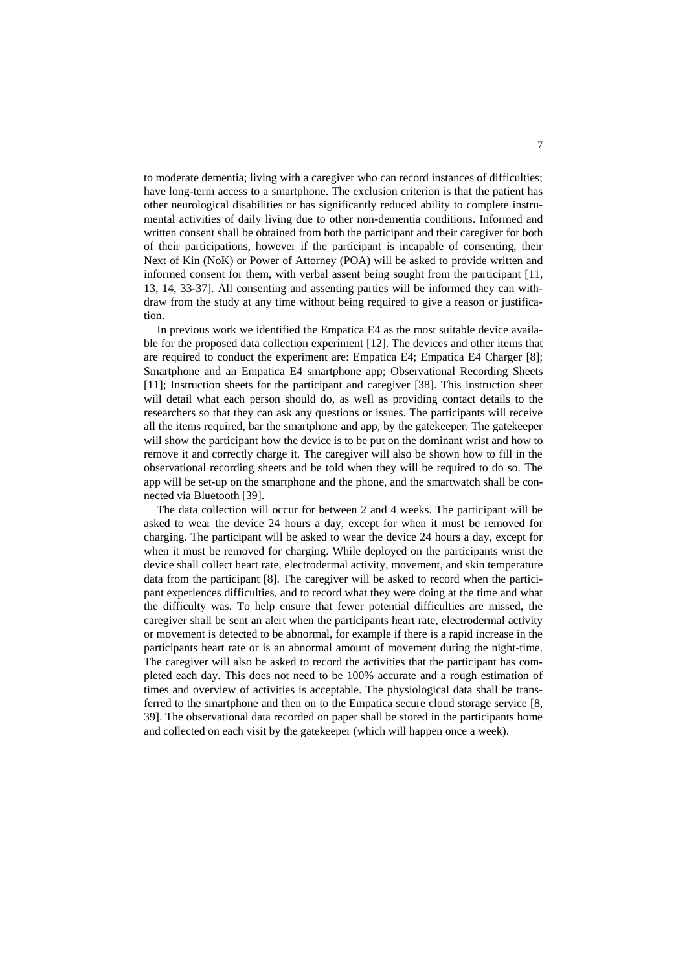to moderate dementia; living with a caregiver who can record instances of difficulties; have long-term access to a smartphone. The exclusion criterion is that the patient has other neurological disabilities or has significantly reduced ability to complete instrumental activities of daily living due to other non-dementia conditions. Informed and written consent shall be obtained from both the participant and their caregiver for both of their participations, however if the participant is incapable of consenting, their Next of Kin (NoK) or Power of Attorney (POA) will be asked to provide written and informed consent for them, with verbal assent being sought from the participant [11, 13, 14, 33-37]. All consenting and assenting parties will be informed they can withdraw from the study at any time without being required to give a reason or justification.

In previous work we identified the Empatica E4 as the most suitable device available for the proposed data collection experiment [12]. The devices and other items that are required to conduct the experiment are: Empatica E4; Empatica E4 Charger [8]; Smartphone and an Empatica E4 smartphone app; Observational Recording Sheets [11]; Instruction sheets for the participant and caregiver [38]. This instruction sheet will detail what each person should do, as well as providing contact details to the researchers so that they can ask any questions or issues. The participants will receive all the items required, bar the smartphone and app, by the gatekeeper. The gatekeeper will show the participant how the device is to be put on the dominant wrist and how to remove it and correctly charge it. The caregiver will also be shown how to fill in the observational recording sheets and be told when they will be required to do so. The app will be set-up on the smartphone and the phone, and the smartwatch shall be connected via Bluetooth [39].

The data collection will occur for between 2 and 4 weeks. The participant will be asked to wear the device 24 hours a day, except for when it must be removed for charging. The participant will be asked to wear the device 24 hours a day, except for when it must be removed for charging. While deployed on the participants wrist the device shall collect heart rate, electrodermal activity, movement, and skin temperature data from the participant [8]. The caregiver will be asked to record when the participant experiences difficulties, and to record what they were doing at the time and what the difficulty was. To help ensure that fewer potential difficulties are missed, the caregiver shall be sent an alert when the participants heart rate, electrodermal activity or movement is detected to be abnormal, for example if there is a rapid increase in the participants heart rate or is an abnormal amount of movement during the night-time. The caregiver will also be asked to record the activities that the participant has completed each day. This does not need to be 100% accurate and a rough estimation of times and overview of activities is acceptable. The physiological data shall be transferred to the smartphone and then on to the Empatica secure cloud storage service [8, 39]. The observational data recorded on paper shall be stored in the participants home and collected on each visit by the gatekeeper (which will happen once a week).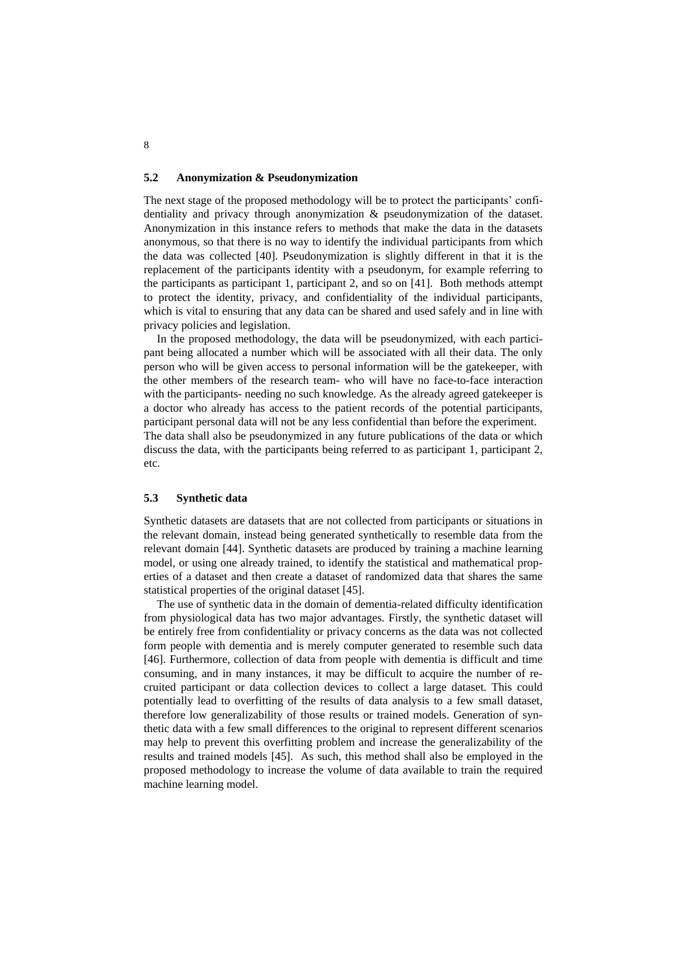#### **5.2 Anonymization & Pseudonymization**

The next stage of the proposed methodology will be to protect the participants' confidentiality and privacy through anonymization & pseudonymization of the dataset. Anonymization in this instance refers to methods that make the data in the datasets anonymous, so that there is no way to identify the individual participants from which the data was collected [40]. Pseudonymization is slightly different in that it is the replacement of the participants identity with a pseudonym, for example referring to the participants as participant 1, participant 2, and so on [41]. Both methods attempt to protect the identity, privacy, and confidentiality of the individual participants, which is vital to ensuring that any data can be shared and used safely and in line with privacy policies and legislation.

In the proposed methodology, the data will be pseudonymized, with each participant being allocated a number which will be associated with all their data. The only person who will be given access to personal information will be the gatekeeper, with the other members of the research team- who will have no face-to-face interaction with the participants- needing no such knowledge. As the already agreed gatekeeper is a doctor who already has access to the patient records of the potential participants, participant personal data will not be any less confidential than before the experiment. The data shall also be pseudonymized in any future publications of the data or which discuss the data, with the participants being referred to as participant 1, participant 2, etc.

### **5.3 Synthetic data**

Synthetic datasets are datasets that are not collected from participants or situations in the relevant domain, instead being generated synthetically to resemble data from the relevant domain [44]. Synthetic datasets are produced by training a machine learning model, or using one already trained, to identify the statistical and mathematical properties of a dataset and then create a dataset of randomized data that shares the same statistical properties of the original dataset [45].

The use of synthetic data in the domain of dementia-related difficulty identification from physiological data has two major advantages. Firstly, the synthetic dataset will be entirely free from confidentiality or privacy concerns as the data was not collected form people with dementia and is merely computer generated to resemble such data [46]. Furthermore, collection of data from people with dementia is difficult and time consuming, and in many instances, it may be difficult to acquire the number of recruited participant or data collection devices to collect a large dataset. This could potentially lead to overfitting of the results of data analysis to a few small dataset, therefore low generalizability of those results or trained models. Generation of synthetic data with a few small differences to the original to represent different scenarios may help to prevent this overfitting problem and increase the generalizability of the results and trained models [45]. As such, this method shall also be employed in the proposed methodology to increase the volume of data available to train the required machine learning model.

8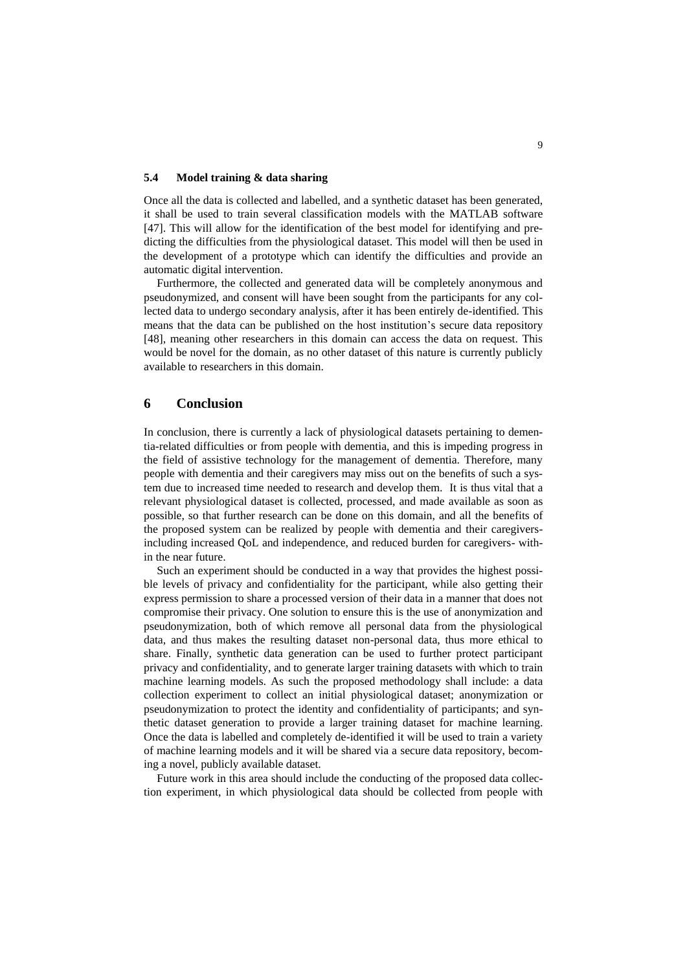#### **5.4 Model training & data sharing**

Once all the data is collected and labelled, and a synthetic dataset has been generated, it shall be used to train several classification models with the MATLAB software [47]. This will allow for the identification of the best model for identifying and predicting the difficulties from the physiological dataset. This model will then be used in the development of a prototype which can identify the difficulties and provide an automatic digital intervention.

Furthermore, the collected and generated data will be completely anonymous and pseudonymized, and consent will have been sought from the participants for any collected data to undergo secondary analysis, after it has been entirely de-identified. This means that the data can be published on the host institution's secure data repository [48], meaning other researchers in this domain can access the data on request. This would be novel for the domain, as no other dataset of this nature is currently publicly available to researchers in this domain.

## **6 Conclusion**

In conclusion, there is currently a lack of physiological datasets pertaining to dementia-related difficulties or from people with dementia, and this is impeding progress in the field of assistive technology for the management of dementia. Therefore, many people with dementia and their caregivers may miss out on the benefits of such a system due to increased time needed to research and develop them. It is thus vital that a relevant physiological dataset is collected, processed, and made available as soon as possible, so that further research can be done on this domain, and all the benefits of the proposed system can be realized by people with dementia and their caregiversincluding increased QoL and independence, and reduced burden for caregivers- within the near future.

Such an experiment should be conducted in a way that provides the highest possible levels of privacy and confidentiality for the participant, while also getting their express permission to share a processed version of their data in a manner that does not compromise their privacy. One solution to ensure this is the use of anonymization and pseudonymization, both of which remove all personal data from the physiological data, and thus makes the resulting dataset non-personal data, thus more ethical to share. Finally, synthetic data generation can be used to further protect participant privacy and confidentiality, and to generate larger training datasets with which to train machine learning models. As such the proposed methodology shall include: a data collection experiment to collect an initial physiological dataset; anonymization or pseudonymization to protect the identity and confidentiality of participants; and synthetic dataset generation to provide a larger training dataset for machine learning. Once the data is labelled and completely de-identified it will be used to train a variety of machine learning models and it will be shared via a secure data repository, becoming a novel, publicly available dataset.

Future work in this area should include the conducting of the proposed data collection experiment, in which physiological data should be collected from people with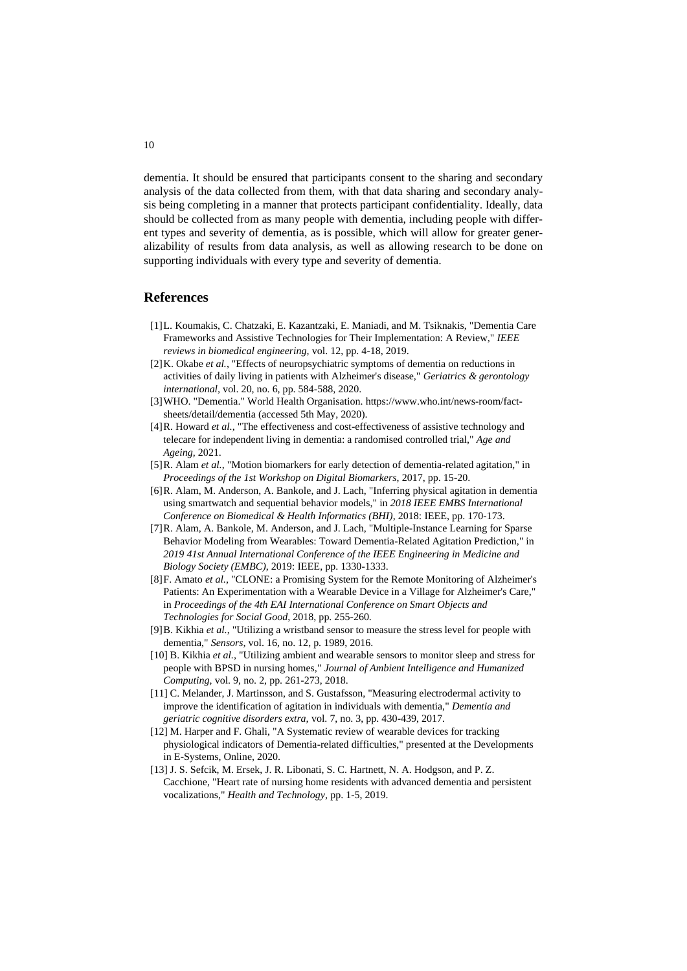dementia. It should be ensured that participants consent to the sharing and secondary analysis of the data collected from them, with that data sharing and secondary analysis being completing in a manner that protects participant confidentiality. Ideally, data should be collected from as many people with dementia, including people with different types and severity of dementia, as is possible, which will allow for greater generalizability of results from data analysis, as well as allowing research to be done on supporting individuals with every type and severity of dementia.

### **References**

- [1]L. Koumakis, C. Chatzaki, E. Kazantzaki, E. Maniadi, and M. Tsiknakis, "Dementia Care Frameworks and Assistive Technologies for Their Implementation: A Review," *IEEE reviews in biomedical engineering,* vol. 12, pp. 4-18, 2019.
- [2]K. Okabe *et al.*, "Effects of neuropsychiatric symptoms of dementia on reductions in activities of daily living in patients with Alzheimer's disease," *Geriatrics & gerontology international,* vol. 20, no. 6, pp. 584-588, 2020.
- [3]WHO. "Dementia." World Health Organisation. [https://www.who.int/news-room/fact](https://www.who.int/news-room/fact-sheets/detail/dementia)[sheets/detail/dementia](https://www.who.int/news-room/fact-sheets/detail/dementia) (accessed 5th May, 2020).
- [4]R. Howard *et al.*, "The effectiveness and cost-effectiveness of assistive technology and telecare for independent living in dementia: a randomised controlled trial," *Age and Ageing,* 2021.
- [5]R. Alam *et al.*, "Motion biomarkers for early detection of dementia-related agitation," in *Proceedings of the 1st Workshop on Digital Biomarkers*, 2017, pp. 15-20.
- [6]R. Alam, M. Anderson, A. Bankole, and J. Lach, "Inferring physical agitation in dementia using smartwatch and sequential behavior models," in *2018 IEEE EMBS International Conference on Biomedical & Health Informatics (BHI)*, 2018: IEEE, pp. 170-173.
- [7]R. Alam, A. Bankole, M. Anderson, and J. Lach, "Multiple-Instance Learning for Sparse Behavior Modeling from Wearables: Toward Dementia-Related Agitation Prediction," in *2019 41st Annual International Conference of the IEEE Engineering in Medicine and Biology Society (EMBC)*, 2019: IEEE, pp. 1330-1333.
- [8]F. Amato *et al.*, "CLONE: a Promising System for the Remote Monitoring of Alzheimer's Patients: An Experimentation with a Wearable Device in a Village for Alzheimer's Care," in *Proceedings of the 4th EAI International Conference on Smart Objects and Technologies for Social Good*, 2018, pp. 255-260.
- [9]B. Kikhia *et al.*, "Utilizing a wristband sensor to measure the stress level for people with dementia," *Sensors,* vol. 16, no. 12, p. 1989, 2016.
- [10] B. Kikhia *et al.*, "Utilizing ambient and wearable sensors to monitor sleep and stress for people with BPSD in nursing homes," *Journal of Ambient Intelligence and Humanized Computing,* vol. 9, no. 2, pp. 261-273, 2018.
- [11] C. Melander, J. Martinsson, and S. Gustafsson, "Measuring electrodermal activity to improve the identification of agitation in individuals with dementia," *Dementia and geriatric cognitive disorders extra,* vol. 7, no. 3, pp. 430-439, 2017.
- [12] M. Harper and F. Ghali, "A Systematic review of wearable devices for tracking physiological indicators of Dementia-related difficulties," presented at the Developments in E-Systems, Online, 2020.
- [13] J. S. Sefcik, M. Ersek, J. R. Libonati, S. C. Hartnett, N. A. Hodgson, and P. Z. Cacchione, "Heart rate of nursing home residents with advanced dementia and persistent vocalizations," *Health and Technology,* pp. 1-5, 2019.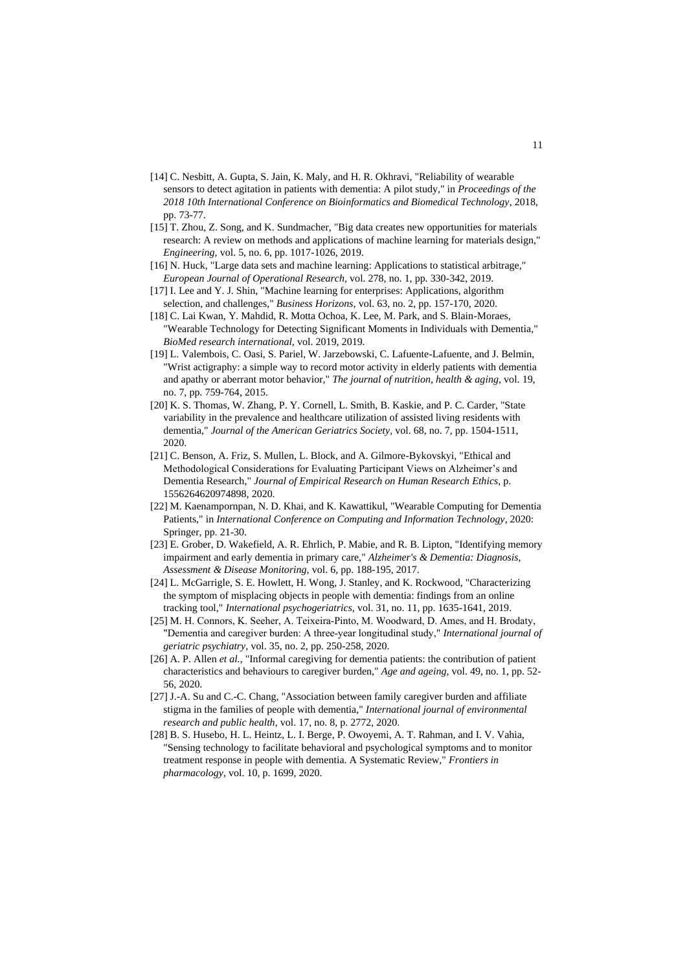- [14] C. Nesbitt, A. Gupta, S. Jain, K. Maly, and H. R. Okhravi, "Reliability of wearable sensors to detect agitation in patients with dementia: A pilot study," in *Proceedings of the 2018 10th International Conference on Bioinformatics and Biomedical Technology*, 2018, pp. 73-77.
- [15] T. Zhou, Z. Song, and K. Sundmacher, "Big data creates new opportunities for materials research: A review on methods and applications of machine learning for materials design," *Engineering,* vol. 5, no. 6, pp. 1017-1026, 2019.
- [16] N. Huck, "Large data sets and machine learning: Applications to statistical arbitrage," *European Journal of Operational Research,* vol. 278, no. 1, pp. 330-342, 2019.
- [17] I. Lee and Y. J. Shin, "Machine learning for enterprises: Applications, algorithm selection, and challenges," *Business Horizons,* vol. 63, no. 2, pp. 157-170, 2020.
- [18] C. Lai Kwan, Y. Mahdid, R. Motta Ochoa, K. Lee, M. Park, and S. Blain-Moraes, "Wearable Technology for Detecting Significant Moments in Individuals with Dementia," *BioMed research international,* vol. 2019, 2019.
- [19] L. Valembois, C. Oasi, S. Pariel, W. Jarzebowski, C. Lafuente-Lafuente, and J. Belmin, "Wrist actigraphy: a simple way to record motor activity in elderly patients with dementia and apathy or aberrant motor behavior," *The journal of nutrition, health & aging,* vol. 19, no. 7, pp. 759-764, 2015.
- [20] K. S. Thomas, W. Zhang, P. Y. Cornell, L. Smith, B. Kaskie, and P. C. Carder, "State variability in the prevalence and healthcare utilization of assisted living residents with dementia," *Journal of the American Geriatrics Society,* vol. 68, no. 7, pp. 1504-1511, 2020.
- [21] C. Benson, A. Friz, S. Mullen, L. Block, and A. Gilmore-Bykovskyi, "Ethical and Methodological Considerations for Evaluating Participant Views on Alzheimer's and Dementia Research," *Journal of Empirical Research on Human Research Ethics,* p. 1556264620974898, 2020.
- [22] M. Kaenampornpan, N. D. Khai, and K. Kawattikul, "Wearable Computing for Dementia Patients," in *International Conference on Computing and Information Technology*, 2020: Springer, pp. 21-30.
- [23] E. Grober, D. Wakefield, A. R. Ehrlich, P. Mabie, and R. B. Lipton, "Identifying memory impairment and early dementia in primary care," *Alzheimer's & Dementia: Diagnosis, Assessment & Disease Monitoring,* vol. 6, pp. 188-195, 2017.
- [24] L. McGarrigle, S. E. Howlett, H. Wong, J. Stanley, and K. Rockwood, "Characterizing the symptom of misplacing objects in people with dementia: findings from an online tracking tool," *International psychogeriatrics,* vol. 31, no. 11, pp. 1635-1641, 2019.
- [25] M. H. Connors, K. Seeher, A. Teixeira‐Pinto, M. Woodward, D. Ames, and H. Brodaty, "Dementia and caregiver burden: A three‐year longitudinal study," *International journal of geriatric psychiatry,* vol. 35, no. 2, pp. 250-258, 2020.
- [26] A. P. Allen *et al.*, "Informal caregiving for dementia patients: the contribution of patient characteristics and behaviours to caregiver burden," *Age and ageing,* vol. 49, no. 1, pp. 52- 56, 2020.
- [27] J.-A. Su and C.-C. Chang, "Association between family caregiver burden and affiliate stigma in the families of people with dementia," *International journal of environmental research and public health,* vol. 17, no. 8, p. 2772, 2020.
- [28] B. S. Husebo, H. L. Heintz, L. I. Berge, P. Owoyemi, A. T. Rahman, and I. V. Vahia, "Sensing technology to facilitate behavioral and psychological symptoms and to monitor treatment response in people with dementia. A Systematic Review," *Frontiers in pharmacology,* vol. 10, p. 1699, 2020.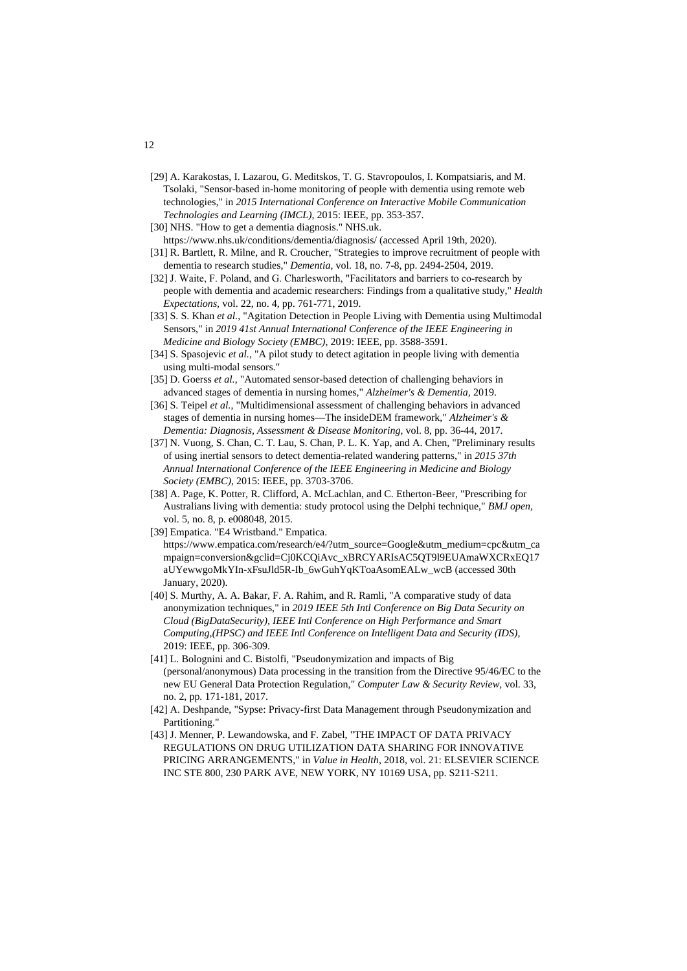- [29] A. Karakostas, I. Lazarou, G. Meditskos, T. G. Stavropoulos, I. Kompatsiaris, and M. Tsolaki, "Sensor-based in-home monitoring of people with dementia using remote web technologies," in *2015 International Conference on Interactive Mobile Communication Technologies and Learning (IMCL)*, 2015: IEEE, pp. 353-357.
- [30] NHS. "How to get a dementia diagnosis." NHS.uk.
- <https://www.nhs.uk/conditions/dementia/diagnosis/> (accessed April 19th, 2020).
- [31] R. Bartlett, R. Milne, and R. Croucher, "Strategies to improve recruitment of people with dementia to research studies," *Dementia,* vol. 18, no. 7-8, pp. 2494-2504, 2019.
- [32] J. Waite, F. Poland, and G. Charlesworth, "Facilitators and barriers to co-research by people with dementia and academic researchers: Findings from a qualitative study," *Health Expectations,* vol. 22, no. 4, pp. 761-771, 2019.
- [33] S. S. Khan *et al.*, "Agitation Detection in People Living with Dementia using Multimodal Sensors," in *2019 41st Annual International Conference of the IEEE Engineering in Medicine and Biology Society (EMBC)*, 2019: IEEE, pp. 3588-3591.
- [34] S. Spasojevic *et al.*, "A pilot study to detect agitation in people living with dementia using multi-modal sensors."
- [35] D. Goerss *et al.*, "Automated sensor-based detection of challenging behaviors in advanced stages of dementia in nursing homes," *Alzheimer's & Dementia,* 2019.
- [36] S. Teipel *et al.*, "Multidimensional assessment of challenging behaviors in advanced stages of dementia in nursing homes—The insideDEM framework," *Alzheimer's & Dementia: Diagnosis, Assessment & Disease Monitoring,* vol. 8, pp. 36-44, 2017.
- [37] N. Vuong, S. Chan, C. T. Lau, S. Chan, P. L. K. Yap, and A. Chen, "Preliminary results of using inertial sensors to detect dementia-related wandering patterns," in *2015 37th Annual International Conference of the IEEE Engineering in Medicine and Biology Society (EMBC)*, 2015: IEEE, pp. 3703-3706.
- [38] A. Page, K. Potter, R. Clifford, A. McLachlan, and C. Etherton-Beer, "Prescribing for Australians living with dementia: study protocol using the Delphi technique," *BMJ open,*  vol. 5, no. 8, p. e008048, 2015.
- [39] Empatica. "E4 Wristband." Empatica. [https://www.empatica.com/research/e4/?utm\\_source=Google&utm\\_medium=cpc&utm\\_ca](https://www.empatica.com/research/e4/?utm_source=Google&utm_medium=cpc&utm_campaign=conversion&gclid=Cj0KCQiAvc_xBRCYARIsAC5QT9l9EUAmaWXCRxEQ17aUYewwgoMkYIn-xFsuJld5R-Ib_6wGuhYqKToaAsomEALw_wcB) [mpaign=conversion&gclid=Cj0KCQiAvc\\_xBRCYARIsAC5QT9l9EUAmaWXCRxEQ17](https://www.empatica.com/research/e4/?utm_source=Google&utm_medium=cpc&utm_campaign=conversion&gclid=Cj0KCQiAvc_xBRCYARIsAC5QT9l9EUAmaWXCRxEQ17aUYewwgoMkYIn-xFsuJld5R-Ib_6wGuhYqKToaAsomEALw_wcB) [aUYewwgoMkYIn-xFsuJld5R-Ib\\_6wGuhYqKToaAsomEALw\\_wcB](https://www.empatica.com/research/e4/?utm_source=Google&utm_medium=cpc&utm_campaign=conversion&gclid=Cj0KCQiAvc_xBRCYARIsAC5QT9l9EUAmaWXCRxEQ17aUYewwgoMkYIn-xFsuJld5R-Ib_6wGuhYqKToaAsomEALw_wcB) (accessed 30th January, 2020).
- [40] S. Murthy, A. A. Bakar, F. A. Rahim, and R. Ramli, "A comparative study of data anonymization techniques," in *2019 IEEE 5th Intl Conference on Big Data Security on Cloud (BigDataSecurity), IEEE Intl Conference on High Performance and Smart Computing,(HPSC) and IEEE Intl Conference on Intelligent Data and Security (IDS)*, 2019: IEEE, pp. 306-309.
- [41] L. Bolognini and C. Bistolfi, "Pseudonymization and impacts of Big (personal/anonymous) Data processing in the transition from the Directive 95/46/EC to the new EU General Data Protection Regulation," *Computer Law & Security Review,* vol. 33, no. 2, pp. 171-181, 2017.
- [42] A. Deshpande, "Sypse: Privacy-first Data Management through Pseudonymization and Partitioning."
- [43] J. Menner, P. Lewandowska, and F. Zabel, "THE IMPACT OF DATA PRIVACY REGULATIONS ON DRUG UTILIZATION DATA SHARING FOR INNOVATIVE PRICING ARRANGEMENTS," in *Value in Health*, 2018, vol. 21: ELSEVIER SCIENCE INC STE 800, 230 PARK AVE, NEW YORK, NY 10169 USA, pp. S211-S211.